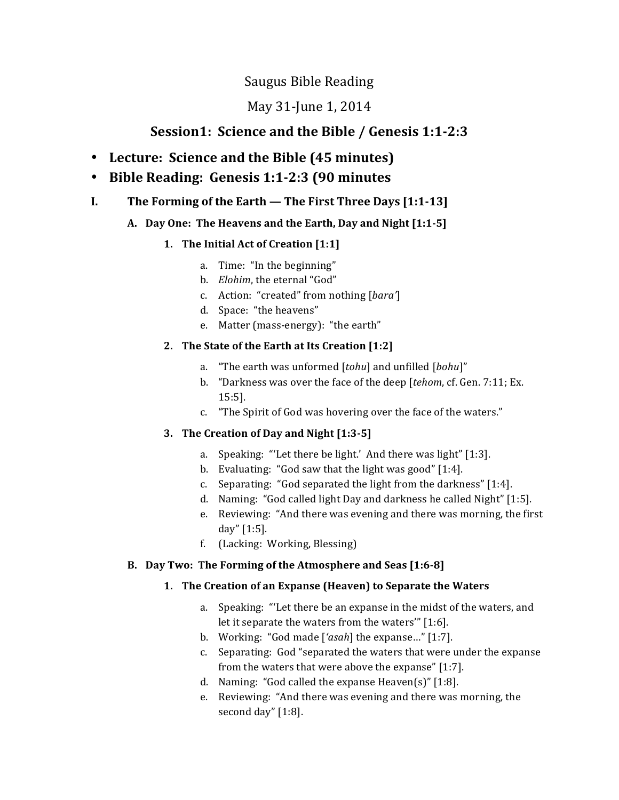# Saugus Bible Reading

# May 31-June 1, 2014

# **Session1: Science and the Bible / Genesis 1:1-2:3**

- **Lecture: Science and the Bible (45 minutes)**
- **Bible Reading: Genesis 1:1-2:3 (90 minutes**
- **I.** The Forming of the Earth The First Three Days [1:1-13]

## A. Day One: The Heavens and the Earth, Day and Night [1:1-5]

## **1.** The Initial Act of Creation [1:1]

- a. Time: "In the beginning"
- b. *Elohim*, the eternal "God"
- c. Action: "created" from nothing [bara']
- d. Space: "the heavens"
- e. Matter (mass-energy): "the earth"

## **2.** The State of the Earth at Its Creation [1:2]

- a. "The earth was unformed [tohu] and unfilled [bohu]"
- b. "Darkness was over the face of the deep [tehom, cf. Gen. 7:11; Ex. 15:5].
- c. "The Spirit of God was hovering over the face of the waters."

## **3.** The Creation of Day and Night [1:3-5]

- a. Speaking: "Let there be light.' And there was light"  $[1:3]$ .
- b. Evaluating: "God saw that the light was good"  $[1:4]$ .
- c. Separating: "God separated the light from the darkness"  $[1:4]$ .
- d. Naming: "God called light Day and darkness he called Night" [1:5].
- e. Reviewing: "And there was evening and there was morning, the first day" [1:5].
- f. (Lacking: Working, Blessing)

## **B.** Day Two: The Forming of the Atmosphere and Seas [1:6-8]

## **1.** The Creation of an Expanse (Heaven) to Separate the Waters

- a. Speaking: "Let there be an expanse in the midst of the waters, and let it separate the waters from the waters'"  $[1:6]$ .
- b. Working: "God made ['*asah*] the expanse..." [1:7].
- c. Separating: God "separated the waters that were under the expanse from the waters that were above the expanse"  $[1:7]$ .
- d. Naming: "God called the expanse Heaven(s)"  $[1:8]$ .
- e. Reviewing: "And there was evening and there was morning, the second day"  $[1:8]$ .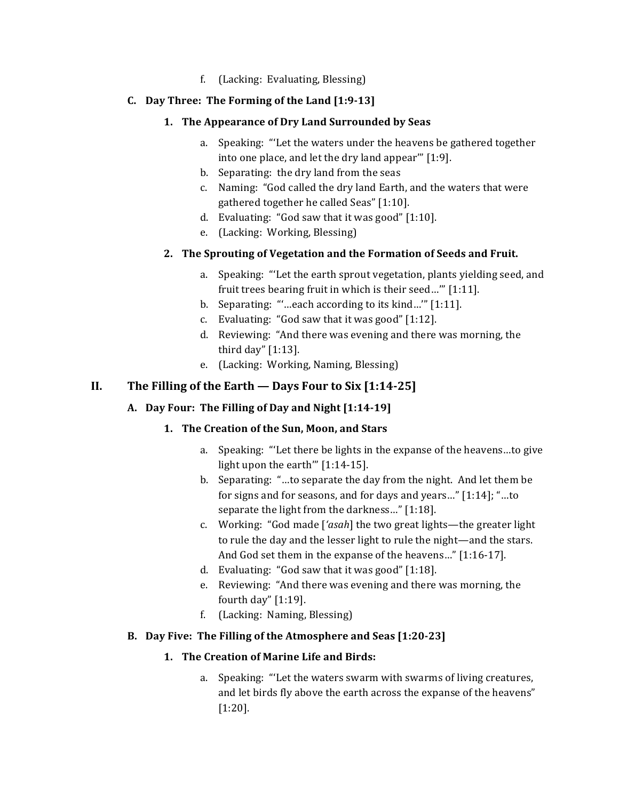f. (Lacking: Evaluating, Blessing)

### **C. Day Three: The Forming of the Land [1:9-13]**

### 1. The Appearance of Dry Land Surrounded by Seas

- a. Speaking: "Let the waters under the heavens be gathered together into one place, and let the dry land appear"  $[1:9]$ .
- b. Separating: the dry land from the seas
- c. Naming: "God called the dry land Earth, and the waters that were gathered together he called Seas" [1:10].
- d. Evaluating: "God saw that it was good"  $[1:10]$ .
- e. (Lacking: Working, Blessing)

### 2. The Sprouting of Vegetation and the Formation of Seeds and Fruit.

- a. Speaking: "Let the earth sprout vegetation, plants yielding seed, and fruit trees bearing fruit in which is their seed..."  $[1:11]$ .
- b. Separating: ""...each according to its kind..."  $[1:11]$ .
- c. Evaluating: "God saw that it was good"  $[1:12]$ .
- d. Reviewing: "And there was evening and there was morning, the third day"  $[1:13]$ .
- e. (Lacking: Working, Naming, Blessing)

## **II.** The Filling of the Earth — Days Four to Six  $[1:14-25]$

## A. Day Four: The Filling of Day and Night [1:14-19]

## **1.** The Creation of the Sun, Moon, and Stars

- a. Speaking: "Let there be lights in the expanse of the heavens... to give light upon the earth'''  $[1:14-15]$ .
- b. Separating: "...to separate the day from the night. And let them be for signs and for seasons, and for days and years..."  $[1:14]$ ; "...to separate the light from the darkness..." [1:18].
- c. Working: "God made ['*asah*] the two great lights—the greater light to rule the day and the lesser light to rule the night—and the stars. And God set them in the expanse of the heavens..." [1:16-17].
- d. Evaluating: "God saw that it was good"  $[1:18]$ .
- e. Reviewing: "And there was evening and there was morning, the fourth day"  $[1:19]$ .
- f. (Lacking: Naming, Blessing)

### **B.** Day Five: The Filling of the Atmosphere and Seas [1:20-23]

### 1. The Creation of Marine Life and Birds:

a. Speaking: "Let the waters swarm with swarms of living creatures, and let birds fly above the earth across the expanse of the heavens" [1:20].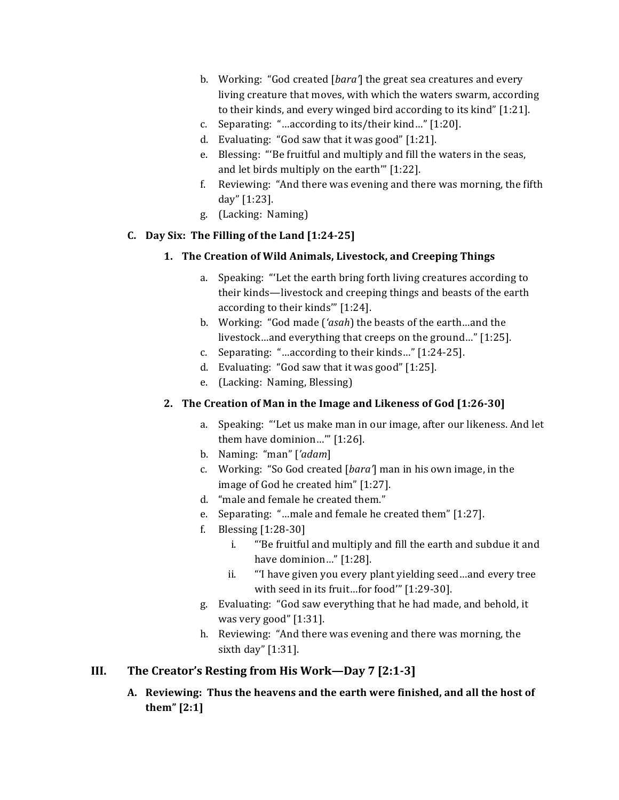- b. Working: "God created [*bara*] the great sea creatures and every living creature that moves, with which the waters swarm, according to their kinds, and every winged bird according to its kind"  $[1:21]$ .
- c. Separating: "...according to its/their kind..."  $[1:20]$ .
- d. Evaluating: "God saw that it was good"  $[1:21]$ .
- e. Blessing: "Be fruitful and multiply and fill the waters in the seas, and let birds multiply on the earth" [1:22].
- f. Reviewing: "And there was evening and there was morning, the fifth day" [1:23].
- g. (Lacking: Naming)

### **C. Day Six: The Filling of the Land [1:24-25]**

- 1. The Creation of Wild Animals, Livestock, and Creeping Things
	- a. Speaking: "Let the earth bring forth living creatures according to their kinds—livestock and creeping things and beasts of the earth according to their kinds" [1:24].
	- b. Working: "God made ('*asah*) the beasts of the earth...and the livestock...and everything that creeps on the ground..." [1:25].
	- c. Separating: "...according to their kinds..."  $[1:24-25]$ .
	- d. Evaluating: "God saw that it was good"  $[1:25]$ .
	- e. (Lacking: Naming, Blessing)

## **2.** The Creation of Man in the Image and Likeness of God [1:26-30]

- a. Speaking: "Let us make man in our image, after our likeness. And let them have dominion...""  $[1:26]$ .
- b. Naming: "man" ['adam]
- c. Working: "So God created [*bara'*] man in his own image, in the image of God he created him" [1:27].
- d. "male and female he created them."
- e. Separating: "...male and female he created them"  $[1:27]$ .
- f. Blessing  $[1:28-30]$ 
	- i. "Be fruitful and multiply and fill the earth and subdue it and have dominion..." [1:28].
	- ii. "I have given you every plant yielding seed...and every tree with seed in its fruit...for food" [1:29-30].
- g. Evaluating: "God saw everything that he had made, and behold, it was very good"  $[1:31]$ .
- h. Reviewing: "And there was evening and there was morning, the sixth day" [1:31].

## **III.** The Creator's Resting from His Work—Day 7 [2:1-3]

A. Reviewing: Thus the heavens and the earth were finished, and all the host of **them" [2:1]**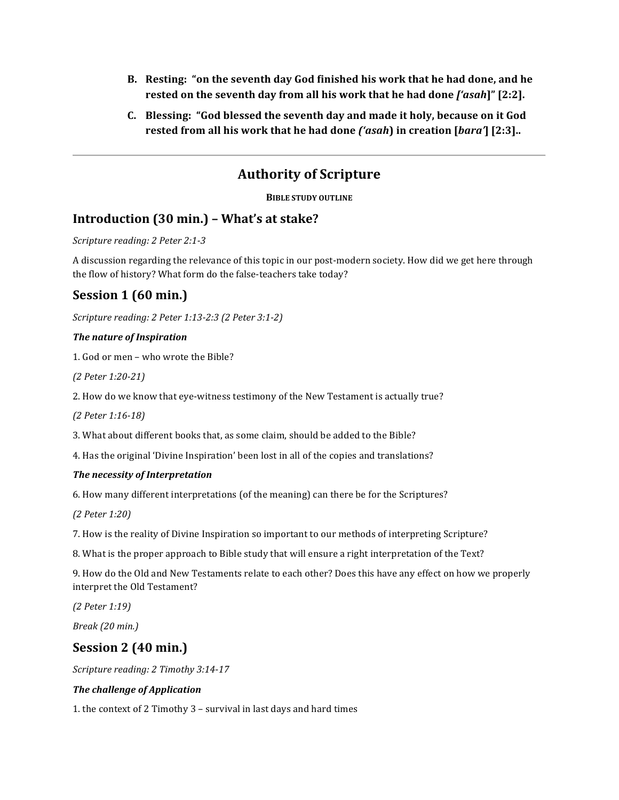- **B.** Resting: "on the seventh day God finished his work that he had done, and he **rested on the seventh day from all his work that he had done ['asah]"** [2:2].
- **C.** Blessing: "God blessed the seventh day and made it holy, because on it God **rested from all his work that he had done** *('asah***) in creation [***bara'***] [2:3]..**

# **Authority of Scripture**

**BIBLE STUDY OUTLINE** 

## **Introduction (30 min.) – What's at stake?**

*Scripture reading: 2 Peter 2:1-3* 

A discussion regarding the relevance of this topic in our post-modern society. How did we get here through the flow of history? What form do the false-teachers take today?

# **Session 1 (60 min.)**

*Scripture reading: 2 Peter 1:13-2:3 (2 Peter 3:1-2)* 

#### **The nature of Inspiration**

1. God or men – who wrote the Bible?

*(2 Peter 1:20-21)* 

2. How do we know that eye-witness testimony of the New Testament is actually true?

*(2 Peter 1:16-18)* 

3. What about different books that, as some claim, should be added to the Bible?

4. Has the original 'Divine Inspiration' been lost in all of the copies and translations?

#### *The necessity of Interpretation*

6. How many different interpretations (of the meaning) can there be for the Scriptures?

*(2 Peter 1:20)* 

7. How is the reality of Divine Inspiration so important to our methods of interpreting Scripture?

8. What is the proper approach to Bible study that will ensure a right interpretation of the Text?

9. How do the Old and New Testaments relate to each other? Does this have any effect on how we properly interpret the Old Testament?

*(2 Peter 1:19)* 

*Break* (20 *min.*)

## **Session 2 (40 min.)**

*Scripture reading: 2 Timothy 3:14-17* 

#### **The challenge of Application**

1. the context of 2 Timothy  $3$  – survival in last days and hard times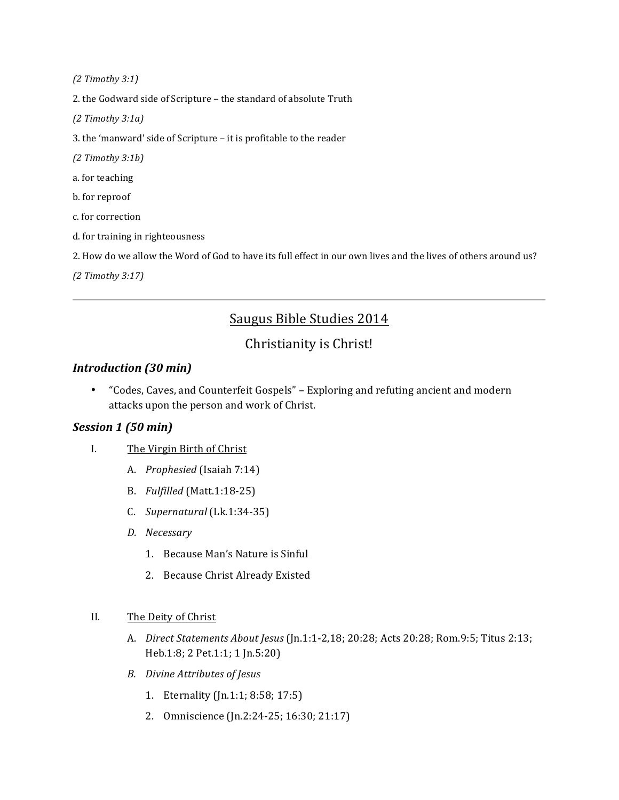*(2 Timothy 3:1)* 

2. the Godward side of Scripture - the standard of absolute Truth

*(2 Timothy 3:1a)* 

3. the 'manward' side of Scripture - it is profitable to the reader

*(2 Timothy 3:1b)* 

a. for teaching

b. for reproof

c. for correction

d. for training in righteousness

2. How do we allow the Word of God to have its full effect in our own lives and the lives of others around us?

*(2 Timothy 3:17)*

# Saugus Bible Studies 2014

## Christianity is Christ!

### *Introduction (30 min)*

• "Codes, Caves, and Counterfeit Gospels" - Exploring and refuting ancient and modern attacks upon the person and work of Christ.

### *Session 1 (50 min)*

- I. The Virgin Birth of Christ
	- A. *Prophesied* (Isaiah 7:14)
	- B. *Fulfilled* (Matt.1:18-25)
	- C. *Supernatural* (Lk.1:34-35)
	- *D. Necessary*
		- 1. Because Man's Nature is Sinful
		- 2. Because Christ Already Existed

#### II. The Deity of Christ

- A. *Direct Statements About Jesus* (Jn.1:1-2,18; 20:28; Acts 20:28; Rom.9:5; Titus 2:13; Heb.1:8; 2 Pet.1:1; 1 Jn.5:20)
- *B. Divine Attributes of Jesus*
	- 1. Eternality (Jn.1:1; 8:58; 17:5)
	- 2. Omniscience (Jn.2:24-25; 16:30; 21:17)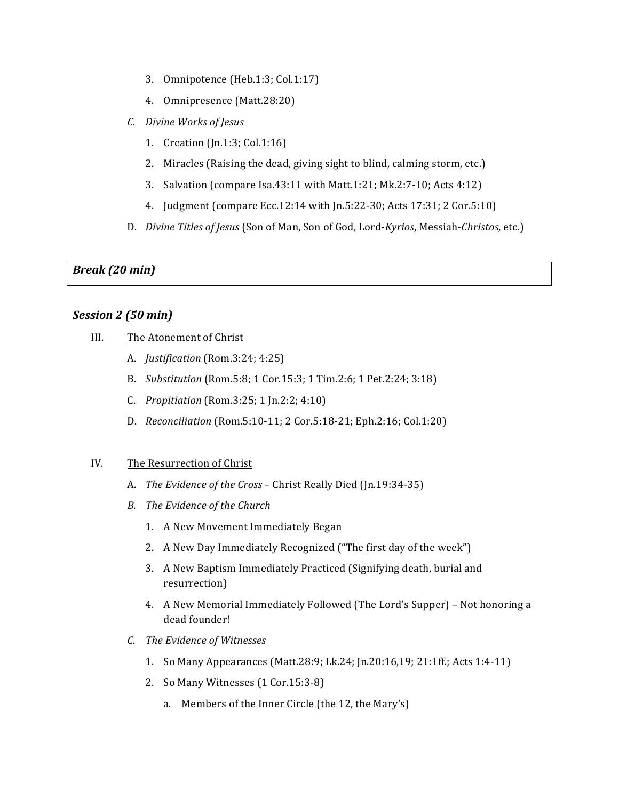- 3. Omnipotence (Heb.1:3; Col.1:17)
- 4. Omnipresence (Matt.28:20)
- *C. Divine Works of Jesus*
	- 1. Creation (Jn.1:3; Col.1:16)
	- 2. Miracles (Raising the dead, giving sight to blind, calming storm, etc.)
	- 3. Salvation (compare Isa.43:11 with Matt.1:21; Mk.2:7-10; Acts 4:12)
	- 4. Judgment (compare Ecc.12:14 with Jn.5:22-30; Acts 17:31; 2 Cor.5:10)
- D. *Divine Titles of Jesus* (Son of Man, Son of God, Lord-*Kyrios*, Messiah-*Christos*, etc.)

*Break (20 min)*

### *Session 2 (50 min)*

- III. The Atonement of Christ
	- A. *Justification* (Rom.3:24; 4:25)
	- B. *Substitution* (Rom.5:8; 1 Cor.15:3; 1 Tim.2:6; 1 Pet.2:24; 3:18)
	- C. *Propitiation* (Rom.3:25; 1 Jn.2:2; 4:10)
	- D. *Reconciliation* (Rom.5:10-11; 2 Cor.5:18-21; Eph.2:16; Col.1:20)

#### IV. The Resurrection of Christ

- A. *The Evidence of the Cross* Christ Really Died (Jn.19:34-35)
- **B.** The Evidence of the Church
	- 1. A New Movement Immediately Began
	- 2. A New Day Immediately Recognized ("The first day of the week")
	- 3. A New Baptism Immediately Practiced (Signifying death, burial and resurrection)
	- 4. A New Memorial Immediately Followed (The Lord's Supper) Not honoring a dead founder!
- *C. The Evidence of Witnesses*
	- 1. So Many Appearances (Matt.28:9; Lk.24; Jn.20:16,19; 21:1ff.; Acts 1:4-11)
	- 2. So Many Witnesses (1 Cor.15:3-8)
		- a. Members of the Inner Circle (the 12, the Mary's)